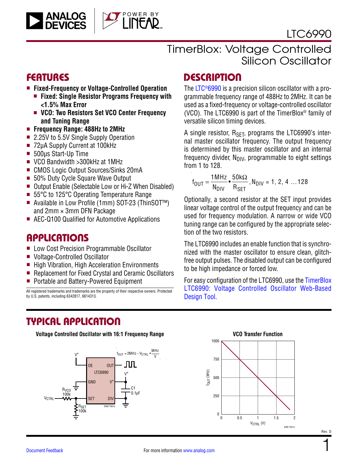

## [LTC](https://www.analog.com/LTC6990?doc=LTC6990.pdf)6990

### FEATURES

- <sup>n</sup> **Fixed-Frequency or Voltage-Controlled Operation**
	- Fixed: Single Resistor Programs Frequency with **<1.5% Max Error**
	- VCO: Two Resistors Set VCO Center Frequency **and Tuning Range**
- <sup>n</sup> **Frequency Range: 488Hz to 2MHz**
- 2.25V to 5.5V Single Supply Operation
- 72uA Supply Current at 100kHz
- 500µs Start-Up Time
- VCO Bandwidth > 300kHz at 1MHz
- CMOS Logic Output Sources/Sinks 20mA
- 50% Duty Cycle Square Wave Output
- Output Enable (Selectable Low or Hi-Z When Disabled)
- 55°C to 125°C Operating Temperature Range
- Available in Low Profile (1mm) SOT-23 (ThinSOT<sup>™</sup>) and  $2mm \times 3mm$  DFN Package
- AEC-Q100 Qualified for Automotive Applications

### APPLICATIONS

- Low Cost Precision Programmable Oscillator
- Voltage-Controlled Oscillator
- High Vibration, High Acceleration Environments
- Replacement for Fixed Crystal and Ceramic Oscillators
- Portable and Battery-Powered Equipment

All registered trademarks and trademarks are the property of their respective owners. Protected by U.S. patents, including 6342817, 6614313.

## **DESCRIPTION**

The [LTC®6990](https://www.analog.com/LTC6990?doc=LTC6990.pdf) is a precision silicon oscillator with a programmable frequency range of 488Hz to 2MHz. It can be used as a fixed-frequency or voltage-controlled oscillator (VCO). The LTC6990 is part of the TimerBlox® family of versatile silicon timing devices.

A single resistor,  $R_{\text{SFT}}$ , programs the LTC6990's internal master oscillator frequency. The output frequency is determined by this master oscillator and an internal frequency divider,  $N_{\text{DIV}}$ , programmable to eight settings from 1 to 128.

$$
f_{OUT} = \frac{1 \text{ MHz}}{N_{DIV}} \cdot \frac{50 \text{ k}\Omega}{R_{SET}}, N_{DIV} = 1, 2, 4 \dots 128
$$

Optionally, a second resistor at the SET input provides linear voltage control of the output frequency and can be used for frequency modulation. A narrow or wide VCO tuning range can be configured by the appropriate selection of the two resistors.

The LTC6990 includes an enable function that is synchronized with the master oscillator to ensure clean, glitchfree output pulses. The disabled output can be configured to be high impedance or forced low.

For easy configuration of the LTC6990, use the [TimerBlox](http://beta-tools.analog.com/timerblox/LTC6990)  [LTC6990: Voltage Controlled Oscillator Web-Based](http://beta-tools.analog.com/timerblox/LTC6990) [Design Tool](http://beta-tools.analog.com/timerblox/LTC6990).

## TYPICAL APPLICATION

**Voltage Controlled Oscillator with 16:1 Frequency Range**





Rev. D

1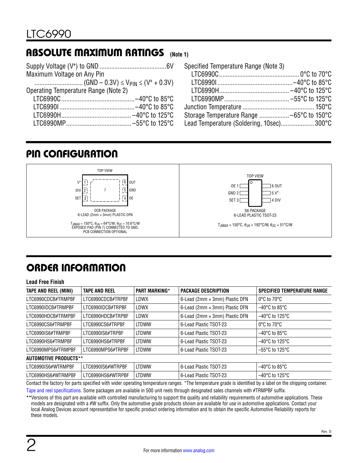#### <span id="page-1-0"></span>ABSOLUTE MAXIMUM RATINGS **(Note 1)**

| Maximum Voltage on Any Pin           |  |
|--------------------------------------|--|
|                                      |  |
| Operating Temperature Range (Note 2) |  |
|                                      |  |
|                                      |  |
|                                      |  |
|                                      |  |

| Specified Temperature Range (Note 3)      |  |
|-------------------------------------------|--|
|                                           |  |
|                                           |  |
|                                           |  |
|                                           |  |
|                                           |  |
|                                           |  |
| Lead Temperature (Soldering, 10sec) 300°C |  |

### <span id="page-1-1"></span>PIN CONFIGURATION



# <span id="page-1-2"></span>ORDER INFORMATION

#### **Lead Free Finish**

| <b>TAPE AND REEL (MINI)</b>  | <b>TAPE AND REEL</b> | <b>PART MARKING*</b> | <b>PACKAGE DESCRIPTION</b>     | <b>SPECIFIED TEMPERATURE RANGE</b>  |
|------------------------------|----------------------|----------------------|--------------------------------|-------------------------------------|
| LTC6990CDCB#TRMPBF           | LTC6990CDCB#TRPBF    | LDWX                 | 6-Lead (2mm × 3mm) Plastic DFN | $0^{\circ}$ C to 70 $^{\circ}$ C    |
| LTC6990IDCB#TRMPBF           | LTC6990IDCB#TRPBF    | LDWX                 | 6-Lead (2mm × 3mm) Plastic DFN | $-40^{\circ}$ C to 85 $^{\circ}$ C  |
| LTC6990HDCB#TRMPBF           | LTC6990HDCB#TRPBF    | LDWX                 | 6-Lead (2mm × 3mm) Plastic DFN | $-40^{\circ}$ C to 125 $^{\circ}$ C |
| LTC6990CS6#TRMPBF            | LTC6990CS6#TRPBF     | <b>LTDWW</b>         | 6-Lead Plastic TSOT-23         | $0^{\circ}$ C to $70^{\circ}$ C     |
| LTC6990IS6#TRMPBF            | LTC6990IS6#TRPBF     | <b>LTDWW</b>         | 6-Lead Plastic TSOT-23         | $-40^{\circ}$ C to 85 $^{\circ}$ C  |
| LTC6990HS6#TRMPBF            | LTC6990HS6#TRPBF     | <b>LTDWW</b>         | 6-Lead Plastic TSOT-23         | $-40^{\circ}$ C to 125 $^{\circ}$ C |
| LTC6990MPS6#TRMPBF           | LTC6990MPS6#TRPBF    | <b>LTDWW</b>         | 6-Lead Plastic TSOT-23         | $-55^{\circ}$ C to 125 $^{\circ}$ C |
| <b>AUTOMOTIVE PRODUCTS**</b> |                      |                      |                                |                                     |
| LTC6990IS6#WTRMPBF           | LTC6990IS6#WTRPBF    | <b>LTDWW</b>         | 6-Lead Plastic TSOT-23         | $-40^{\circ}$ C to 85 $^{\circ}$ C  |
| LTC6990HS6#WTRMPBF           | LTC6990HS6#WTRPBF    | <b>LTDWW</b>         | 6-Lead Plastic TSOT-23         | $-40^{\circ}$ C to 125 $^{\circ}$ C |

Contact the factory for parts specified with wider operating temperature ranges. \*The temperature grade is identified by a label on the shipping container. [Tape and reel specifications](https://www.analog.com/media/en/package-pcb-resources/package/tape-reel-rev-n.pdf). Some packages are available in 500 unit reels through designated sales channels with #TRMPBF suffix.

**\*\***Versions of this part are available with controlled manufacturing to support the quality and reliability requirements of automotive applications. These models are designated with a #W suffix. Only the automotive grade products shown are available for use in automotive applications. Contact your local Analog Devices account representative for specific product ordering information and to obtain the specific Automotive Reliability reports for these models.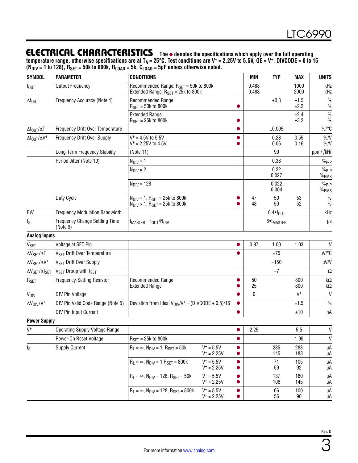### <span id="page-2-0"></span>**ELECTRICAL CHARACTERISTICS** The  $\bullet$  denotes the specifications which apply over the full operating

**temperature range, otherwise specifications are at TA = 25°C. Test conditions are V+ = 2.25V to 5.5V, OE = V+, DIVCODE = 0 to 15 (NDIV = 1 to 128), RSET = 50k to 800k, RLOAD = 5k, CLOAD = 5pF unless otherwise noted.**

| <b>SYMBOL</b>                           | <b>PARAMETER</b>                                  | <b>CONDITIONS</b>                                                                                              |                               |           | <b>MIN</b>     | <b>TYP</b>            | MAX          | <b>UNITS</b>                          |
|-----------------------------------------|---------------------------------------------------|----------------------------------------------------------------------------------------------------------------|-------------------------------|-----------|----------------|-----------------------|--------------|---------------------------------------|
| $f_{\text{OUT}}$                        | <b>Output Frequency</b>                           | Recommended Range: $R_{\text{SET}} = 50$ k to 800k<br>Extended Range: $R_{\text{SET}} = 25k$ to 800k           |                               |           | 0.488<br>0.488 |                       | 1000<br>2000 | kHz<br>kHz                            |
| $\Delta f_{\text{OUT}}$                 | Frequency Accuracy (Note 4)                       | Recommended Range<br>$R_{\text{SET}} = 50k$ to 800k                                                            |                               |           |                | ±0.8                  | ±1.5<br>±2.2 | $\%$<br>$\frac{0}{0}$                 |
|                                         |                                                   | <b>Extended Range</b><br>$R_{\text{SET}} = 25k$ to 800k                                                        |                               |           |                |                       | ±2.4<br>±3.2 | $\frac{0}{0}$<br>$\frac{0}{0}$        |
| $\Delta f_{\text{OUT}}/\Delta T$        | Frequency Drift Over Temperature                  |                                                                                                                |                               |           |                | ±0.005                |              | $\%$ /°C                              |
| $\Delta f_{\text{OUT}}/\Delta V^+$      | Frequency Drift Over Supply                       | $V^* = 4.5V$ to 5.5V<br>$V^* = 2.25V$ to 4.5V                                                                  |                               |           |                | 0.23<br>0.06          | 0.55<br>0.16 | $\%N$<br>$\%N$                        |
|                                         | Long-Term Frequency Stability                     | (Note 11)                                                                                                      |                               |           |                | 90                    |              | ppm/√kHr                              |
|                                         | Period Jitter (Note 10)                           | $N_{\text{DIV}} = 1$                                                                                           |                               |           |                | 0.38                  |              | $\%$ <sub>P-P</sub>                   |
|                                         |                                                   | $N_{\text{DIV}} = 2$                                                                                           |                               |           |                | 0.22<br>0.027         |              | $\%$ <sub>P-P</sub><br>$\%_{\rm RMS}$ |
|                                         |                                                   | $N_{\text{DIV}} = 128$                                                                                         |                               |           |                | 0.022<br>0.004        |              | $\%$ <sub>P-P</sub><br>$%$ RMS        |
|                                         | Duty Cycle                                        | $N_{\text{DIV}} = 1$ , $R_{\text{SET}} = 25k$ to 800k<br>$N_{\text{DIV}} > 1$ , $R_{\text{SET}} = 25k$ to 800k |                               |           | 47<br>48       | 50<br>50              | 53<br>52     | $\frac{0}{0}$<br>$\frac{0}{0}$        |
| BW                                      | <b>Frequency Modulation Bandwidth</b>             |                                                                                                                |                               |           |                | $0.4 \cdot f_{OUT}$   |              | kHz                                   |
| $t_{\rm S}$                             | <b>Frequency Change Settling Time</b><br>(Note 9) | $t_{MASTER} = t_{OUT}/N_{DIV}$                                                                                 |                               |           |                | 6•t <sub>MASTER</sub> |              | $\mu s$                               |
| <b>Analog Inputs</b>                    |                                                   |                                                                                                                |                               |           |                |                       |              |                                       |
| <b>V<sub>SET</sub></b>                  | Voltage at SET Pin                                |                                                                                                                |                               |           | 0.97           | 1.00                  | 1.03         | $\mathsf{V}$                          |
| $\Delta \rm {V_{SET}/ \Delta T}$        | V <sub>SET</sub> Drift Over Temperature           |                                                                                                                |                               |           |                | ±75                   |              | µV/°C                                 |
| $\Delta V_{SET}/\Delta V^+$             | V <sub>SET</sub> Drift Over Supply                |                                                                                                                |                               |           |                | $-150$                |              | µV/V                                  |
| $\Delta V_{\rm SET}/\Delta I_{\rm SET}$ | V <sub>SET</sub> Droop with I <sub>SET</sub>      |                                                                                                                |                               |           |                | $-7$                  |              | Ω                                     |
| $R_{SET}$                               | Frequency-Setting Resistor                        | Recommended Range<br><b>Extended Range</b>                                                                     |                               |           | 50<br>25       |                       | 800<br>800   | $k\Omega$<br>kΩ                       |
| <b>V<sub>DIV</sub></b>                  | <b>DIV Pin Voltage</b>                            |                                                                                                                |                               |           | 0              |                       | $V^+$        | $\mathsf{V}$                          |
| $\Delta V_{\text{DIV}}/V^+$             | DIV Pin Valid Code Range (Note 5)                 | Deviation from Ideal $V_{\text{DIV}}/V^+$ = (DIVCODE + 0.5)/16                                                 |                               |           |                |                       | ±1.5         | $\frac{0}{0}$                         |
|                                         | DIV Pin Input Current                             |                                                                                                                |                               |           |                |                       | ±10          | nA                                    |
| <b>Power Supply</b>                     |                                                   |                                                                                                                |                               |           |                |                       |              |                                       |
| $V^+$                                   | <b>Operating Supply Voltage Range</b>             |                                                                                                                |                               |           | 2.25           |                       | 5.5          | $\mathsf{V}$                          |
|                                         | Power-On Reset Voltage                            | $RSFT = 25k to 800k$                                                                                           |                               | $\bullet$ |                |                       | 1.95         | V                                     |
| $I_{\rm S}$                             | <b>Supply Current</b>                             | $R_L = \infty$ , $N_{DIV} = 1$ , $R_{SET} = 50k$                                                               | $V^+ = 5.5V$<br>$V^+ = 2.25V$ |           |                | 235<br>145            | 283<br>183   | μA<br>μA                              |
|                                         |                                                   | $R_L = \infty$ , $N_{DIV} = 1$ $R_{SET} = 800k$                                                                | $V^+ = 5.5V$<br>$V^+ = 2.25V$ |           |                | 71<br>59              | 105<br>92    | μA<br>μA                              |
|                                         |                                                   | $R_L = \infty$ , $N_{DIV} = 128$ , $R_{SET} = 50k$                                                             | $V^+ = 5.5V$<br>$V^+ = 2.25V$ |           |                | 137<br>106            | 180<br>145   | μA<br>μA                              |
|                                         |                                                   | $R_L = \infty$ , $N_{DIV} = 128$ , $R_{SET} = 800k$                                                            | $V^+ = 5.5V$<br>$V^+ = 2.25V$ |           |                | 66<br>56              | 100<br>90    | μA<br>μA                              |

3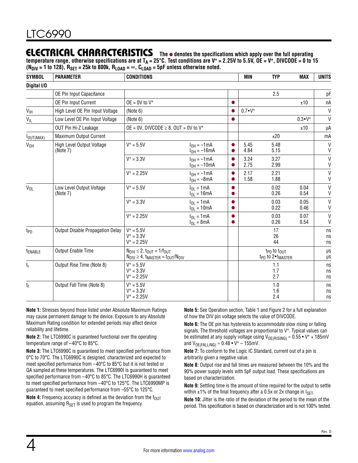### **ELECTRICAL CHARACTERISTICS** The  $\bullet$  denotes the specifications which apply over the full operating

 $t$ emperature range, otherwise specifications are at T<sub>A</sub> = 25°C. Test conditions are V<sup>+</sup> = 2.25V to 5.5V, OE = V<sup>+</sup>, DIVCODE = 0 to 15  $(N_{\text{DIV}} = 1 \text{ to } 128)$ ,  $R_{\text{SET}} = 25k \text{ to } 800k$ ,  $R_{\text{LOAD}} = \infty$ ,  $C_{\text{LOAD}} = 5pF$  unless otherwise noted.

| <b>SYMBOL</b>              | <b>PARAMETER</b>                      | <b>CONDITIONS</b>                                                                                                                                   |                                     |           | <b>MIN</b>      | <b>TYP</b>                                                                      | <b>MAX</b>      | <b>UNITS</b>      |
|----------------------------|---------------------------------------|-----------------------------------------------------------------------------------------------------------------------------------------------------|-------------------------------------|-----------|-----------------|---------------------------------------------------------------------------------|-----------------|-------------------|
| Digital I/O                |                                       |                                                                                                                                                     |                                     |           |                 |                                                                                 |                 |                   |
|                            | OE Pin Input Capacitance              |                                                                                                                                                     |                                     |           |                 | 2.5                                                                             |                 | pF                |
|                            | OE Pin Input Current                  | $OE = 0V$ to $V^+$                                                                                                                                  |                                     |           |                 |                                                                                 | ±10             | nA                |
| $\mathsf{V}_{\mathsf{IH}}$ | High Level OE Pin Input Voltage       | (Note 6)                                                                                                                                            |                                     |           | $0.7 \cdot V^+$ |                                                                                 |                 | V                 |
| $V_{IL}$                   | Low Level OE Pin Input Voltage        | (Note 6)                                                                                                                                            |                                     |           |                 |                                                                                 | $0.3 \cdot V^+$ | V                 |
|                            | OUT Pin Hi-Z Leakage                  | $OE = 0V$ , DIVCODE $\geq 8$ , OUT = 0V to V <sup>+</sup>                                                                                           |                                     |           |                 |                                                                                 | ±10             | μA                |
| $I_{OUT(MAX)}$             | Maximum Output Current                |                                                                                                                                                     |                                     |           |                 | ±20                                                                             |                 | mA                |
| $V_{OH}$                   | High Level Output Voltage<br>(Note 7) | $V^+ = 5.5V$                                                                                                                                        | $I_{OH} = -1mA$<br>$I_{OH} = -16mA$ | $\bullet$ | 5.45<br>4.84    | 5.48<br>5.15                                                                    |                 | $\mathsf{V}$<br>V |
|                            |                                       | $V^+ = 3.3V$                                                                                                                                        | $I_{OH} = -1mA$<br>$I_{OH} = -10mA$ |           | 3.24<br>2.75    | 3.27<br>2.99                                                                    |                 | V<br>$\vee$       |
|                            |                                       | $V^+ = 2.25V$                                                                                                                                       | $I_{OH} = -1mA$<br>$I_{OH} = -8mA$  |           | 2.17<br>1.58    | 2.21<br>1.88                                                                    |                 | V<br>$\mathsf{V}$ |
| $V_{OL}$                   | Low Level Output Voltage<br>(Note 7)  | $V^+ = 5.5V$                                                                                                                                        | $I_{01} = 1mA$<br>$I_{OL}$ = 16mA   |           |                 | 0.02<br>0.26                                                                    | 0.04<br>0.54    | $\mathsf{V}$<br>V |
|                            |                                       | $V^+ = 3.3V$                                                                                                                                        | $I_{OL} = 1mA$<br>$I_{OL} = 10mA$   |           |                 | 0.03<br>0.22                                                                    | 0.05<br>0.46    | V<br>V            |
|                            |                                       | $V^+ = 2.25V$                                                                                                                                       | $I_{OL} = 1mA$<br>$I_{OL} = 8mA$    |           |                 | 0.03<br>0.26                                                                    | 0.07<br>0.54    | $\vee$<br>V       |
| t <sub>PD</sub>            | Output Disable Propagation Delay      | $V^+ = 5.5V$<br>$V^+ = 3.3V$<br>$V^+ = 2.25V$                                                                                                       |                                     |           |                 | 17<br>26<br>44                                                                  |                 | ns<br>ns<br>ns    |
| t <sub>ENABLE</sub>        | Output Enable Time                    | $N_{\text{DIV}} \leq 2$ , $t_{\text{OUT}} = 1/f_{\text{OUT}}$<br>$N_{\text{DIV}} \geq 4$ , t <sub>MASTER</sub> = t <sub>OUT</sub> /N <sub>DIV</sub> |                                     |           |                 | $t_{PD}$ to $t_{OIII}$<br>t <sub>PD</sub> to 2 <sup>•</sup> t <sub>MASTER</sub> |                 | μs<br>$\mu$ s     |
| $t_{r}$                    | Output Rise Time (Note 8)             | $V^+ = 5.5V$<br>$V^+ = 3.3V$<br>$V^+ = 2.25V$                                                                                                       |                                     |           |                 | 1.1<br>1.7<br>2.7                                                               |                 | ns<br>ns<br>ns    |
| t <sub>f</sub>             | Output Fall Time (Note 8)             | $V^+ = 5.5V$<br>$V^+ = 3.3V$<br>$V^+ = 2.25V$                                                                                                       |                                     |           |                 | 1.0<br>1.6<br>2.4                                                               |                 | ns<br>ns<br>ns    |

**Note 1:** Stresses beyond those listed under [Absolute Maximum Ratings](#page-1-0) may cause permanent damage to the device. Exposure to any Absolute Maximum Rating condition for extended periods may affect device reliability and lifetime.

**Note 2:** The LTC6990C is guaranteed functional over the operating temperature range of –40°C to 85°C.

**Note 3:** The LTC6990C is guaranteed to meet specified performance from 0°C to 70°C. The LTC6990C is designed, characterized and expected to meet specified performance from –40°C to 85°C but it is not tested or QA sampled at these temperatures. The LTC6990I is guaranteed to meet specified performance from –40°C to 85°C. The LTC6990H is guaranteed to meet specified performance from –40°C to 125°C. The LTC6990MP is guaranteed to meet specified performance from –55°C to 125°C.

**Note 4:** Frequency accuracy is defined as the deviation from the  $f_{\text{OUT}}$ equation, assuming  $R_{\text{SET}}$  is used to program the frequency.

**Note 5:** See [Operation](#page-9-0) section, [Table 1](#page-10-0) and [Figure 2](#page-10-1) for a full explanation of how the DIV pin voltage selects the value of DIVCODE.

**Note 6:** The OE pin has hysteresis to accommodate slow rising or falling signals. The threshold voltages are proportional to  $V^+$ . Typical values can be estimated at any supply voltage using  $V_{OE(RISING)} \approx 0.55 \cdot V^+ + 185 \text{mV}$ and  $V_{OE(FALLING)} \approx 0.48 \cdot V^+ - 155 \text{mV}$ .

**Note 7:** To conform to the Logic IC Standard, current out of a pin is arbitrarily given a negative value.

**Note 8:** Output rise and fall times are measured between the 10% and the 90% power supply levels with 5pF output load. These specifications are based on characterization.

**Note 9:** Settling time is the amount of time required for the output to settle within  $\pm 1\%$  of the final frequency after a 0.5x or 2x change in  $I_{\text{SET}}$ .

**Note 10:** Jitter is the ratio of the deviation of the period to the mean of the period. This specification is based on characterization and is not 100% tested.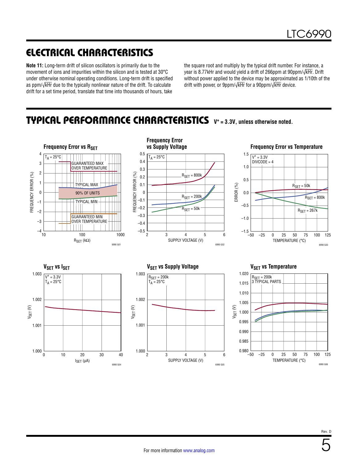## ELECTRICAL CHARACTERISTICS

**Note 11:** Long-term drift of silicon oscillators is primarily due to the movement of ions and impurities within the silicon and is tested at 30°C under otherwise nominal operating conditions. Long-term drift is specified as ppm/√kHr due to the typically nonlinear nature of the drift. To calculate drift for a set time period, translate that time into thousands of hours, take

the square root and multiply by the typical drift number. For instance, a year is 8.77kHr and would yield a drift of 266ppm at 90ppm/√kHr. Drift without power applied to the device may be approximated as 1/10th of the drift with power, or 9ppm/√kHr for a 90ppm/√kHr device.

### <span id="page-4-0"></span>TYPICAL PERFORMANCE CHARACTERISTICS **V+ = 3.3V, unless otherwise noted.**



5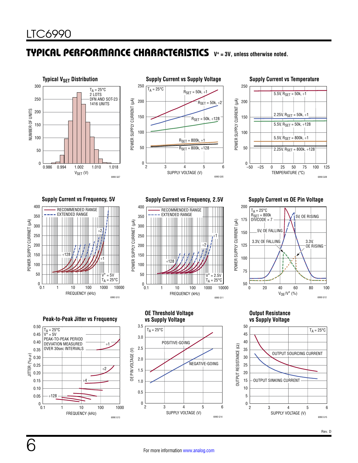### TYPICAL PERFORMANCE CHARACTERISTICS **V+ = 3V, unless otherwise noted.**







400



**Peak-to-Peak Jitter vs Frequency**



**Supply Current vs Frequency, 5V Supply Current vs Frequency, 2.5V Supply Current vs OE Pin Voltage**



**OE Threshold Voltage vs Supply Voltage**

POSITIVE-GOING

OE PIN VOLTAGE (V)

FO

PIN VOLTAGE (V)

3.5

 $T_A = 25\overline{°C}$ 

3.0

2.5

1.0

0.5

 $0\frac{L}{2}$ 

2.0

1.5



**Output Resistance vs Supply Voltage**



SUPPLY VOLTAGE (V)

2 3 4 5 6

6990 G14

NEGATIVE-GOING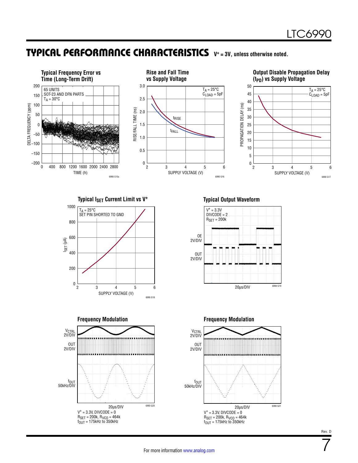### TYPICAL PERFORMANCE CHARACTERISTICS **V+ = 3V, unless otherwise noted.**



**Typical I<sub>SET</sub> Current Limit vs V<sup>+</sup> Typical Output Waveform** 









7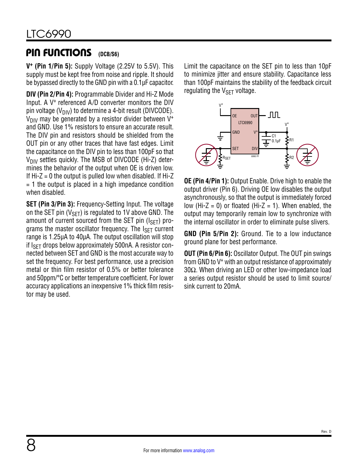#### <span id="page-7-0"></span>PIN FUNCTIONS **(DCB/S6)**

**V+ (Pin 1/Pin 5):** Supply Voltage (2.25V to 5.5V). This supply must be kept free from noise and ripple. It should be bypassed directly to the GND pin with a 0.1µF capacitor.

**DIV (Pin 2/Pin 4):** Programmable Divider and Hi-Z Mode Input. A V+ referenced A/D converter monitors the DIV pin voltage ( $V_{\text{DIV}}$ ) to determine a 4-bit result (DIVCODE).  $V_{\text{DIV}}$  may be generated by a resistor divider between  $V^+$ and GND. Use 1% resistors to ensure an accurate result. The DIV pin and resistors should be shielded from the OUT pin or any other traces that have fast edges. Limit the capacitance on the DIV pin to less than 100pF so that  $V_{\text{DIV}}$  settles quickly. The MSB of DIVCODE (Hi-Z) determines the behavior of the output when OE is driven low. If  $Hi-Z = 0$  the output is pulled low when disabled. If  $Hi-Z$  $=$  1 the output is placed in a high impedance condition when disabled.

**SET (Pin 3/Pin 3):** Frequency-Setting Input. The voltage on the SET pin ( $V_{\text{SFT}}$ ) is regulated to 1V above GND. The amount of current sourced from the SET pin  $(I<sub>SET</sub>)$  programs the master oscillator frequency. The  $I_{\rm SFT}$  current range is 1.25µA to 40µA. The output oscillation will stop if  $I_{\rm SFT}$  drops below approximately 500nA. A resistor connected between SET and GND is the most accurate way to set the frequency. For best performance, use a precision metal or thin film resistor of 0.5% or better tolerance and 50ppm/°C or better temperature coefficient. For lower accuracy applications an inexpensive 1% thick film resistor may be used.

Limit the capacitance on the SET pin to less than 10pF to minimize jitter and ensure stability. Capacitance less than 100pF maintains the stability of the feedback circuit regulating the  $V_{\text{SET}}$  voltage.



**OE (Pin 4/Pin 1):** Output Enable. Drive high to enable the output driver (Pin 6). Driving OE low disables the output asynchronously, so that the output is immediately forced low (Hi-Z = 0) or floated (Hi-Z = 1). When enabled, the output may temporarily remain low to synchronize with the internal oscillator in order to eliminate pulse slivers.

**GND (Pin 5/Pin 2):** Ground. Tie to a low inductance ground plane for best performance.

**OUT (Pin 6/Pin 6):** Oscillator Output. The OUT pin swings from GND to V+ with an output resistance of approximately 30Ω. When driving an LED or other low-impedance load a series output resistor should be used to limit source/ sink current to 20mA.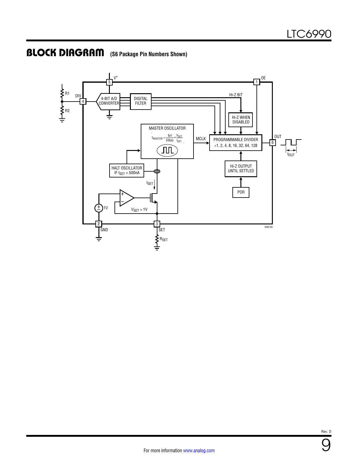### BLOCK DIAGRAM **(S6 Package Pin Numbers Shown)**



Rev. D

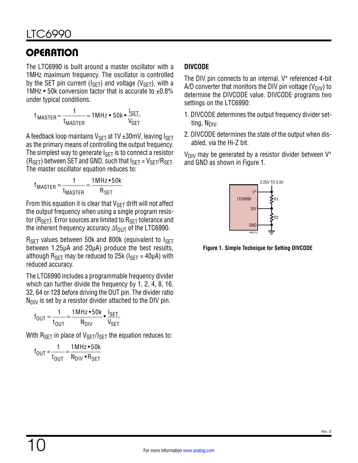<span id="page-9-0"></span>The LTC6990 is built around a master oscillator with a 1MHz maximum frequency. The oscillator is controlled by the SET pin current ( $I_{\text{SET}}$ ) and voltage ( $V_{\text{SET}}$ ), with a 1MHz  $\cdot$  50k conversion factor that is accurate to  $\pm 0.8\%$ under typical conditions.

$$
f_{\text{MASTER}} = \frac{1}{t_{\text{MASTER}}} = 1 \text{MHz} \cdot 50 \text{k} \cdot \frac{I_{\text{SET}}}{V_{\text{SET}}}
$$

A feedback loop maintains V $_{\rm SET}$  at 1V ±30mV, leaving I $_{\rm SET}$ as the primary means of controlling the output frequency. The simplest way to generate  $I_{\text{SET}}$  is to connect a resistor  $(R<sub>SET</sub>)$  between SET and GND, such that  $I<sub>SET</sub> = V<sub>SET</sub>/R<sub>SET</sub>$ . The master oscillator equation reduces to:

$$
f_{\text{MASTER}} = \frac{1}{t_{\text{MASTER}}} = \frac{1 \text{MHz} \cdot 50 \text{k}}{R_{\text{SET}}}
$$

From this equation it is clear that  $V_{\text{SFT}}$  drift will not affect the output frequency when using a single program resistor ( $R_{\text{SFT}}$ ). Error sources are limited to  $R_{\text{SFT}}$  tolerance and the inherent frequency accuracy  $\Delta f_{\text{OUT}}$  of the LTC6990.

 $R_{\text{SET}}$  values between 50k and 800k (equivalent to  $I_{\text{SET}}$ between 1.25µA and 20µA) produce the best results, although  $R_{\text{SFT}}$  may be reduced to 25k ( $I_{\text{SFT}}$  = 40µA) with reduced accuracy.

The LTC6990 includes a programmable frequency divider which can further divide the frequency by 1, 2, 4, 8, 16, 32, 64 or 128 before driving the OUT pin. The divider ratio  $N_{\text{DIV}}$  is set by a resistor divider attached to the DIV pin.

$$
f_{OUT} = \frac{1}{t_{OUT}} = \frac{1 M Hz \cdot 50k}{N_{DIV}} \cdot \frac{I_{SET}}{V_{SET}}
$$

With  $R_{SET}$  in place of  $V_{SET}/I_{SET}$  the equation reduces to:

$$
f_{OUT} = \frac{1}{t_{OUT}} = \frac{1 M Hz \cdot 50 k}{N_{DIV} \cdot R_{SET}}
$$

### **DIVCODE**

The DIV pin connects to an internal, V<sup>+</sup> referenced 4-bit A/D converter that monitors the DIV pin voltage ( $V_{\text{DIV}}$ ) to determine the DIVCODE value. DIVCODE programs two settings on the LTC6990:

- 1. DIVCODE determines the output frequency divider setting,  $N_{\text{DIV}}$ .
- 2. DIVCODE determines the state of the output when disabled, via the Hi-Z bit.

 $V_{\text{DIV}}$  may be generated by a resistor divider between V<sup>+</sup> and GND as shown in [Figure 1](#page-9-1).



<span id="page-9-1"></span>**Figure 1. Simple Technique for Setting DIVCODE**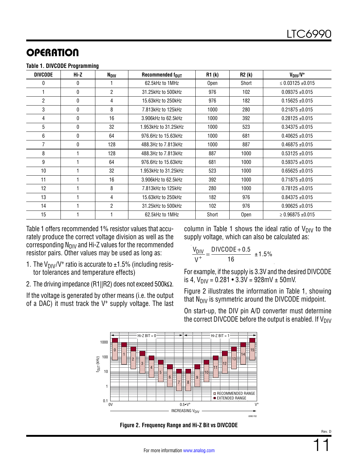<span id="page-10-0"></span>

| <b>DIVCODE</b> | Hi-Z         | N <sub>DIV</sub> | Recommended four     | <b>R1 (k)</b> |      | $V_{\text{DIV}}/V^+$  |
|----------------|--------------|------------------|----------------------|---------------|------|-----------------------|
| 0              | 0            |                  | 62.5kHz to 1MHz      | Short<br>Open |      | $\leq$ 0.03125 ±0.015 |
|                | $\Omega$     | $\overline{2}$   | 31.25kHz to 500kHz   | 976           | 102  | $0.09375 + 0.015$     |
| 2              | $\mathbf{0}$ | 4                | 15.63kHz to 250kHz   | 976           | 182  | $0.15625 + 0.015$     |
| 3              | $\mathbf{0}$ | 8                | 7.813kHz to 125kHz   | 1000          | 280  | $0.21875 + 0.015$     |
| 4              | $\mathbf{0}$ | 16               | 3.906kHz to 62.5kHz  | 1000          | 392  | $0.28125 + 0.015$     |
| 5              | $\mathbf{0}$ | 32               | 1.953kHz to 31.25kHz | 1000          | 523  | $0.34375 + 0.015$     |
| 6              | $\mathbf{0}$ | 64               | 976.6Hz to 15.63kHz  | 1000          | 681  | $0.40625 + 0.015$     |
| 7              | 0            | 128              | 488.3Hz to 7.813kHz  | 1000          | 887  | $0.46875 + 0.015$     |
| 8              |              | 128              | 488.3Hz to 7.813kHz  | 887           | 1000 | $0.53125 + 0.015$     |
| 9              |              | 64               | 976.6Hz to 15.63kHz  | 681<br>1000   |      | $0.59375 + 0.015$     |
| 10             |              | 32               | 1.953kHz to 31.25kHz | 523           | 1000 | $0.65625 \pm 0.015$   |
| 11             |              | 16               | 3.906kHz to 62.5kHz  | 392           | 1000 | $0.71875 + 0.015$     |
| 12             |              | 8                | 7.813kHz to 125kHz   | 280           | 1000 | $0.78125 + 0.015$     |
| 13             |              | 4                | 15.63kHz to 250kHz   | 182           | 976  | $0.84375 + 0.015$     |
| 14             |              | 2                | 31.25kHz to 500kHz   | 102           | 976  | $0.90625 + 0.015$     |
| 15             |              |                  | 62.5kHz to 1MHz      | Short         | Open | $\geq$ 0.96875 ±0.015 |

[Table 1](#page-10-0) offers recommended 1% resistor values that accurately produce the correct voltage division as well as the corresponding  $N_{\text{DIV}}$  and Hi-Z values for the recommended resistor pairs. Other values may be used as long as:

- 1. The V<sub>DIV</sub>/V<sup>+</sup> ratio is accurate to  $\pm$ 1.5% (including resistor tolerances and temperature effects)
- 2. The driving impedance (R1||R2) does not exceed 500kΩ.

If the voltage is generated by other means (i.e. the output of a DAC) it must track the V+ supply voltage. The last column in [Table 1](#page-10-0) shows the ideal ratio of  $V_{\text{DIV}}$  to the supply voltage, which can also be calculated as:

$$
\frac{V_{\text{DIV}}}{V^+} = \frac{\text{DIVCODE} + 0.5}{16} \pm 1.5\%
$$

For example, if the supply is 3.3V and the desired DIVCODE is 4,  $V_{\text{DIV}} = 0.281 \cdot 3.3V = 928mV \pm 50mV$ .

[Figure 2](#page-10-1) illustrates the information in [Table 1](#page-10-0), showing that  $N_{\text{DIV}}$  is symmetric around the DIVCODE midpoint.

On start-up, the DIV pin A/D converter must determine the correct DIVCODE before the output is enabled. If  $V_{\text{DIV}}$ 



**Figure 2. Frequency Range and Hi-Z Bit vs DIVCODE**

<span id="page-10-1"></span>Rev. D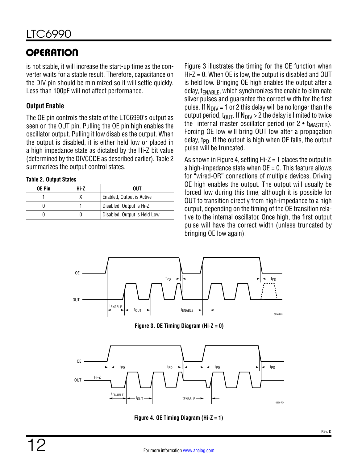is not stable, it will increase the start-up time as the converter waits for a stable result. Therefore, capacitance on the DIV pin should be minimized so it will settle quickly. Less than 100pF will not affect performance.

### **Output Enable**

The OE pin controls the state of the LTC6990's output as seen on the OUT pin. Pulling the OE pin high enables the oscillator output. Pulling it low disables the output. When the output is disabled, it is either held low or placed in a high impedance state as dictated by the Hi-Z bit value (determined by the DIVCODE as described earlier). [Table 2](#page-11-0) summarizes the output control states.

#### <span id="page-11-0"></span>**Table 2. Output States**

| <b>OE Pin</b> | Hi-Z | OUT                          |
|---------------|------|------------------------------|
|               |      | Enabled, Output is Active    |
|               |      | Disabled, Output is Hi-Z     |
|               |      | Disabled, Output is Held Low |

[Figure 3](#page-11-1) illustrates the timing for the OE function when  $Hi-Z = 0$ . When OE is low, the output is disabled and OUT is held low. Bringing OE high enables the output after a delay,  $t_{FNABI}F$ , which synchronizes the enable to eliminate sliver pulses and guarantee the correct width for the first pulse. If  $N_{\text{DIV}} = 1$  or 2 this delay will be no longer than the output period,  $t_{OUT}$ . If  $N_{DIV} > 2$  the delay is limited to twice the internal master oscillator period (or  $2 \cdot t_{\text{MASTER}}$ ). Forcing OE low will bring OUT low after a propagation delay,  $t_{\text{PD}}$ . If the output is high when OE falls, the output pulse will be truncated.

As shown in [Figure 4](#page-11-2), setting  $Hi-Z = 1$  places the output in a high-impedance state when  $OE = 0$ . This feature allows for "wired-OR" connections of multiple devices. Driving OE high enables the output. The output will usually be forced low during this time, although it is possible for OUT to transition directly from high-impedance to a high output, depending on the timing of the OE transition relative to the internal oscillator. Once high, the first output pulse will have the correct width (unless truncated by bringing OE low again).



<span id="page-11-1"></span>**Figure 3. OE Timing Diagram (Hi-Z = 0)**



<span id="page-11-2"></span>**Figure 4. OE Timing Diagram (Hi-Z = 1)**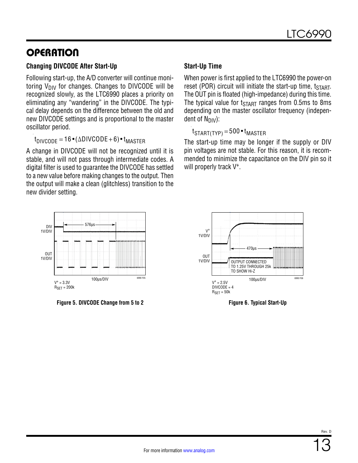### **Changing DIVCODE After Start-Up**

Following start-up, the A/D converter will continue monitoring  $V_{\text{DIV}}$  for changes. Changes to DIVCODE will be recognized slowly, as the LTC6990 places a priority on eliminating any "wandering" in the DIVCODE. The typical delay depends on the difference between the old and new DIVCODE settings and is proportional to the master oscillator period.

 $t_{\text{DIVCOMP}} = 16 \cdot (\Delta \text{DIVCODE} + 6) \cdot t_{\text{MASTER}}$ 

A change in DIVCODE will not be recognized until it is stable, and will not pass through intermediate codes. A digital filter is used to guarantee the DIVCODE has settled to a new value before making changes to the output. Then the output will make a clean (glitchless) transition to the new divider setting.



**Figure 5. DIVCODE Change from 5 to 2 Figure 6. Typical Start-Up**

### **Start-Up Time**

When power is first applied to the LTC6990 the power-on reset (POR) circuit will initiate the start-up time,  $t_{START}$ . The OUT pin is floated (high-impedance) during this time. The typical value for  $t_{\text{START}}$  ranges from 0.5ms to 8ms depending on the master oscillator frequency (independent of  $N_{\text{DIV}}$ ):

 $t_{\text{STAT(TYP)}} = 500 \cdot t_{\text{MASTER}}$ 

The start-up time may be longer if the supply or DIV pin voltages are not stable. For this reason, it is recommended to minimize the capacitance on the DIV pin so it will properly track V+.

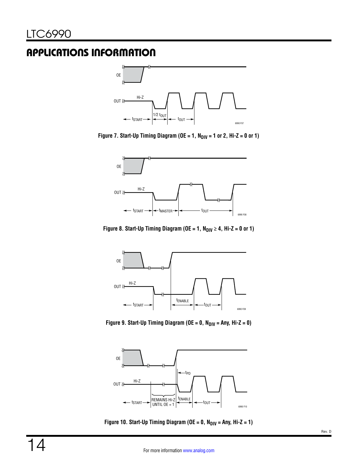<span id="page-13-0"></span>

**Figure 7. Start-Up Timing Diagram (OE = 1, N<sub>DIV</sub> = 1 or 2, Hi-Z = 0 or 1)** 



Figure 8. Start-Up Timing Diagram ( $OE = 1$ ,  $N_{DIV} \ge 4$ , Hi-Z = 0 or 1)



Figure 9. Start-Up Timing Diagram ( $OE = 0$ ,  $N_{\text{DIV}} = \text{Any}, H - Z = 0$ )



Figure 10. Start-Up Timing Diagram ( $OE = 0$ ,  $N_{DIV} = Any$ ,  $Hi-Z = 1$ )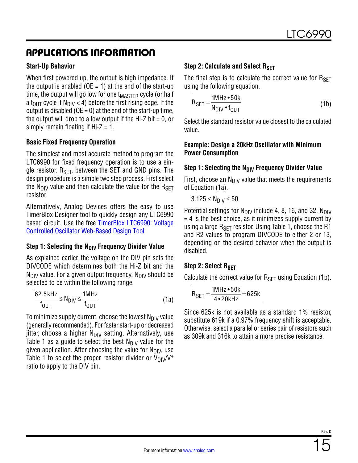### **Start-Up Behavior**

When first powered up, the output is high impedance. If the output is enabled ( $OE = 1$ ) at the end of the start-up time, the output will go low for one  $t_{\text{MASTFR}}$  cycle (or half a t<sub>OUT</sub> cycle if N<sub>DIV</sub> < 4) before the first rising edge. If the output is disabled ( $OE = 0$ ) at the end of the start-up time, the output will drop to a low output if the Hi-Z bit  $= 0$ , or simply remain floating if  $Hi-Z = 1$ .

#### **Basic Fixed Frequency Operation**

The simplest and most accurate method to program the LTC6990 for fixed frequency operation is to use a single resistor,  $R_{\text{SFT}}$ , between the SET and GND pins. The design procedure is a simple two step process. First select the N<sub>DIV</sub> value and then calculate the value for the  $R_{\text{SFT}}$ resistor.

Alternatively, Analog Devices offers the easy to use TimerBlox Designer tool to quickly design any LTC6990 based circuit. Use the free [TimerBlox LTC6990: Voltage](http://beta-tools.analog.com/timerblox/LTC6990) [Controlled Oscillator Web-Based Design Tool.](http://beta-tools.analog.com/timerblox/LTC6990)

#### **Step 1: Selecting the N<sub>DIV</sub> Frequency Divider Value**

As explained earlier, the voltage on the DIV pin sets the DIVCODE which determines both the Hi-Z bit and the  $N_{\text{DIV}}$  value. For a given output frequency,  $N_{\text{DIV}}$  should be selected to be within the following range.

$$
\frac{62.5 \text{ kHz}}{f_{\text{OUT}}} \le N_{\text{DIV}} \le \frac{1 \text{ MHz}}{f_{\text{OUT}}} \tag{1a}
$$

To minimize supply current, choose the lowest  $N_{\text{DIV}}$  value (generally recommended). For faster start-up or decreased jitter, choose a higher  $N_{\text{DIV}}$  setting. Alternatively, use [Table 1](#page-10-0) as a guide to select the best  $N_{\text{DIV}}$  value for the given application. After choosing the value for  $N_{\text{DIV}}$ , use [Table 1](#page-10-0) to select the proper resistor divider or  $V_{\text{DIV}}/V^+$ ratio to apply to the DIV pin.

### **Step 2: Calculate and Select RSET**

The final step is to calculate the correct value for  $R_{\text{SFT}}$ using the following equation.

$$
R_{\text{SET}} = \frac{1 M H z \cdot 50 k}{N_{\text{DIV}} \cdot f_{\text{OUT}}}
$$
 (1b)

Select the standard resistor value closest to the calculated value.

#### **Example: Design a 20kHz Oscillator with Minimum Power Consumption**

### **Step 1: Selecting the N<sub>DIV</sub> Frequency Divider Value**

First, choose an  $N_{\text{DIV}}$  value that meets the requirements of Equation (1a).

 $3.125 \le N_{\text{DIV}} \le 50$ 

Potential settings for  $N_{\text{DIV}}$  include 4, 8, 16, and 32.  $N_{\text{DIV}}$  $= 4$  is the best choice, as it minimizes supply current by using a large  $R_{\text{SFT}}$  resistor. Using [Table 1](#page-10-0), choose the R1 and R2 values to program DIVCODE to either 2 or 13, depending on the desired behavior when the output is disabled.

#### **Step 2: Select RSFT**

Calculate the correct value for  $R_{\text{SET}}$  using Equation (1b).

$$
R_{SET} = \frac{1MHz \cdot 50k}{4 \cdot 20kHz} = 625k
$$

Since 625k is not available as a standard 1% resistor, substitute 619k if a 0.97% frequency shift is acceptable. Otherwise, select a parallel or series pair of resistors such as 309k and 316k to attain a more precise resistance.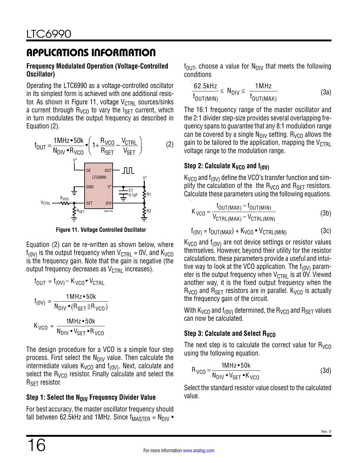#### **Frequency Modulated Operation (Voltage-Controlled Oscillator)**

Operating the LTC6990 as a voltage-controlled oscillator in its simplest form is achieved with one additional resis-tor. As shown in [Figure 11,](#page-15-0) voltage  $V_{\text{CTRL}}$  sources/sinks a current through  $R_{VCO}$  to vary the  $I_{SFT}$  current, which in turn modulates the output frequency as described in Equation (2).



**Figure 11. Voltage Controlled Oscillator**

Equation (2) can be re-written as shown below, where  $f_{(0V)}$  is the output frequency when  $V_{\text{CTRL}} = 0V$ , and  $K_{VCO}$ is the frequency gain. Note that the gain is negative (the output frequency decreases as  $V_{\text{CTRL}}$  increases).

$$
f_{OUT} = f_{(OV)} - K_{VCO} \cdot V_{CTRL}
$$
\n
$$
f_{(OV)} = \frac{1 M Hz \cdot 50 k}{N_{DIV} \cdot (R_{SET} || R_{VCO})}
$$
\n
$$
K_{VCO} = \frac{1 M Hz \cdot 50 k}{N_{DIV} \cdot V_{SET} \cdot R_{VCO}}
$$

The design procedure for a VCO is a simple four step process. First select the  $N_{\text{DIV}}$  value. Then calculate the intermediate values  $K_{VCO}$  and  $f_{(0V)}$ . Next, calculate and select the  $R_{VCO}$  resistor. Finally calculate and select the R<sub>SET</sub> resistor.

### **Step 1: Select the N<sub>DIV</sub> Frequency Divider Value**

For best accuracy, the master oscillator frequency should fall between 62.5kHz and 1MHz. Since  $f_{MASTER} = N_{DIV}$  •  $f_{\text{OUT}}$ , choose a value for N<sub>DIV</sub> that meets the following conditions

$$
\frac{62.5\text{kHz}}{f_{OUT(MIN)}} \leq N_{DIV} \leq \frac{1\text{MHz}}{f_{OUT(MAX)}}
$$
(3a)

The 16:1 frequency range of the master oscillator and the 2:1 divider step-size provides several overlapping frequency spans to guarantee that any 8:1 modulation range can be covered by a single  $N_{\text{DIV}}$  setting. R<sub>VCO</sub> allows the gain to be tailored to the application, mapping the  $V_{\text{CTRI}}$ voltage range to the modulation range.

### **Step 2: Calculate K<sub>VCO</sub> and f<sub>(0V)</sub>**

 $K_{VCO}$  and f<sub>(0V)</sub> define the VCO's transfer function and simplify the calculation of the the  $R_{VCO}$  and  $R_{SET}$  resistors. Calculate these parameters using the following equations.

$$
K_{VCO} = \frac{f_{OUT(MAX)} - f_{OUT(MIN)}}{V_{CTRL(MAX)} - V_{CTRL(MIN)}}
$$
(3b)

$$
f_{(0V)} = f_{OUT(MAX)} + K_{VCO} \bullet V_{CTRL(MIN)} \tag{3c}
$$

<span id="page-15-0"></span> $K_{VCO}$  and f<sub>(0V)</sub> are not device settings or resistor values themselves. However, beyond their utility for the resistor calculations, these parameters provide a useful and intuitive way to look at the VCO application. The  $f_{(0V)}$  parameter is the output frequency when  $V_{\text{CTR}}$  is at  $\overset{\sim}{0}V$ . Viewed another way, it is the fixed output frequency when the  $R_{VCO}$  and  $R_{SET}$  resistors are in parallel.  $K_{VCO}$  is actually the frequency gain of the circuit.

With K<sub>VCO</sub> and  $f_{(0V)}$  determined, the R<sub>VCO</sub> and R<sub>SET</sub> values can now be calculated.

### **Step 3: Calculate and Select R<sub>VCO</sub>**

The next step is to calculate the correct value for  $R_{VCD}$ using the following equation.

$$
R_{VCO} = \frac{1MHz \cdot 50k}{N_{DIV} \cdot V_{SET} \cdot K_{VCO}}
$$
 (3d)

Select the standard resistor value closest to the calculated value.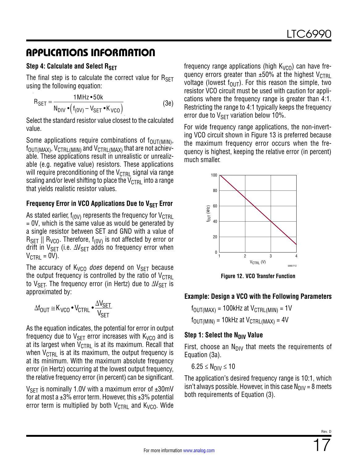#### **Step 4: Calculate and Select RSFT**

The final step is to calculate the correct value for  $R_{\text{SFT}}$ using the following equation:

$$
R_{\text{SET}} = \frac{1 \text{MHz} \cdot 50 \text{k}}{N_{\text{DIV}} \cdot (f_{(0V)} - V_{\text{SET}} \cdot K_{VCO})}
$$
(3e)

Select the standard resistor value closest to the calculated value.

Some applications require combinations of  $f_{\text{OUT(MIN)}},$  $f_{\text{OUT}(MAX)}$ ,  $V_{\text{CTRL}(MIN)}$  and  $V_{\text{CTRL}(MAX)}$  that are not achievable. These applications result in unrealistic or unrealizable (e.g. negative value) resistors. These applications will require preconditioning of the  $V_{\text{CTRL}}$  signal via range scaling and/or level shifting to place the  $V_{\text{CTRL}}$  into a range that yields realistic resistor values.

### **Frequency Error in VCO Applications Due to VSFT Error**

As stated earlier,  $f_{(0\text{V})}$  represents the frequency for  $V_{\text{CTRI}}$  $= 0V$ , which is the same value as would be generated by a single resistor between SET and GND with a value of  $R_{\rm SFT}$  ||  $R_{\rm VCO}$ . Therefore,  $f_{(0{\rm V})}$  is not affected by error or drift in  $V_{\text{SFT}}$  (i.e.  $\Delta V_{\text{SFT}}$  adds no frequency error when  $V_{\text{CTRL}} = 0V$ ).

The accuracy of  $K_{VCO}$  *does* depend on  $V_{SFT}$  because the output frequency is controlled by the ratio of  $V_{\text{CTRL}}$ to V<sub>SET</sub>. The frequency error (in Hertz) due to  $\Delta V_{\text{SET}}$  is approximated by:

$$
\Delta f_{OUT} \cong K_{VCO} \bullet V_{CTRL} \bullet \frac{\Delta V_{SET}}{V_{SET}}
$$

As the equation indicates, the potential for error in output frequency due to  $V_{\text{SET}}$  error increases with  $K_{VCO}$  and is at its largest when  $V_{\text{CTRL}}$  is at its maximum. Recall that when  $V_{\text{CTRI}}$  is at its maximum, the output frequency is at its minimum. With the maximum absolute frequency error (in Hertz) occurring at the lowest output frequency, the relative frequency error (in percent) can be significant.

 $V_{\text{SFT}}$  is nominally 1.0V with a maximum error of  $\pm 30$ mV for at most a  $\pm 3\%$  error term. However, this  $\pm 3\%$  potential error term is multiplied by both  $V_{\text{CTRI}}$  and  $K_{\text{VCO}}$ . Wide frequency range applications (high  $K_{VCO}$ ) can have frequency errors greater than  $\pm 50\%$  at the highest V<sub>CTRL</sub> voltage (lowest  $f_{\text{OUT}}$ ). For this reason the simple, two resistor VCO circuit must be used with caution for applications where the frequency range is greater than 4:1. Restricting the range to 4:1 typically keeps the frequency error due to  $V_{\text{SFT}}$  variation below 10%.

For wide frequency range applications, the non-inverting VCO circuit shown in [Figure 13](#page-17-0) is preferred because the maximum frequency error occurs when the frequency is highest, keeping the relative error (in percent) much smaller.



**Figure 12. VCO Transfer Function**

#### **Example: Design a VCO with the Following Parameters**

 $f_{\text{OUT} (MAX)} = 100$ kHz at  $V_{\text{CTRI}} (MIN) = 1$ V  $f_{\text{OUT(MIN)}} = 10$ kHz at  $V_{\text{CTRL} (MAX)} = 4V$ 

#### **Step 1: Select the N<sub>DIV</sub> Value**

First, choose an  $N_{\text{DIV}}$  that meets the requirements of Equation (3a).

 $6.25 \le N_{\text{DIV}} \le 10$ 

The application's desired frequency range is 10:1, which isn't always possible. However, in this case  $N_{\text{DIV}} = 8$  meets both requirements of Equation (3).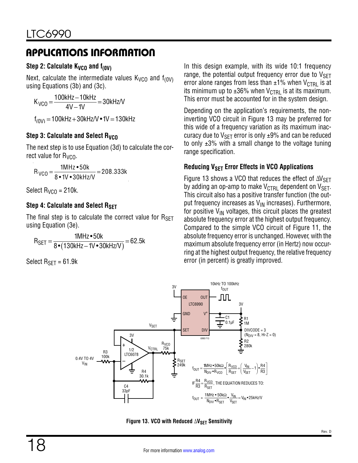### Step 2: Calculate K<sub>VCO</sub> and f<sub>(0V)</sub>

Next, calculate the intermediate values  $K_{VCO}$  and  $f_{(0V)}$ using Equations (3b) and (3c).

 $K_{VCO} = \frac{100kHz - 10kHz}{4V - 1V} = 30kHz/V$ f<sub>(0V)</sub> = 100kHz + 30kHz/V • 1V = 130kHz

### **Step 3: Calculate and Select Ryco**

The next step is to use Equation (3d) to calculate the correct value for  $R_{VCO}$ .

 $R_{VCO} = \frac{1 \text{MHz} \cdot 50 \text{k}}{8 \cdot 1 \text{V} \cdot 30 \text{kHz/V}} = 208.333 \text{k}$ 

Select  $R_{VCD} = 210k$ .

### **Step 4: Calculate and Select RSET**

The final step is to calculate the correct value for  $R_{\text{SFT}}$ using Equation (3e).

$$
R_{SET} = \frac{1MHz \cdot 50k}{8 \cdot (130kHz - 1V \cdot 30kHz/V)} = 62.5k
$$

Select  $R_{SFT}$  = 61.9k

In this design example, with its wide 10:1 frequency range, the potential output frequency error due to  $V_{\text{SET}}$ error alone ranges from less than  $\pm 1\%$  when V<sub>CTRL</sub> is at its minimum up to  $\pm 36\%$  when V<sub>CTRL</sub> is at its maximum. This error must be accounted for in the system design.

Depending on the application's requirements, the noninverting VCO circuit in [Figure 13](#page-17-0) may be preferred for this wide of a frequency variation as its maximum inaccuracy due to  $V_{\text{SET}}$  error is only  $\pm 9\%$  and can be reduced to only  $\pm 3\%$  with a small change to the voltage tuning range specification.

### **Reducing V<sub>SFT</sub> Error Effects in VCO Applications**

[Figure 13](#page-17-0) shows a VCO that reduces the effect of  $\Delta V_{\rm SFT}$ by adding an op-amp to make  $V_{\text{CTRL}}$  dependent on  $V_{\text{SET}}$ . This circuit also has a positive transfer function (the output frequency increases as  $V_{\text{IN}}$  increases). Furthermore, for positive  $V_{IN}$  voltages, this circuit places the greatest absolute frequency error at the highest output frequency. Compared to the simple VCO circuit of [Figure 11,](#page-15-0) the absolute frequency error is unchanged. However, with the maximum absolute frequency error (in Hertz) now occurring at the highest output frequency, the relative frequency error (in percent) is greatly improved.



<span id="page-17-0"></span>Figure 13. VCO with Reduced ∆V<sub>SET</sub> Sensitivity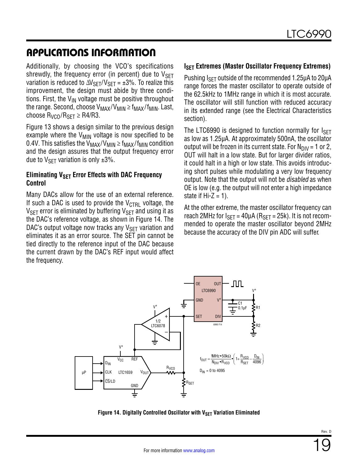Additionally, by choosing the VCO's specifications shrewdly, the frequency error (in percent) due to  $V_{\text{SFT}}$ variation is reduced to  $\Delta V_{\rm SFT}/V_{\rm SFT}$  = ±3%. To realize this improvement, the design must abide by three conditions. First, the  $V_{IN}$  voltage must be positive throughout the range. Second, choose  $V_{MAX}/V_{MIN} \ge f_{MAX}/f_{MIN}$ . Last, choose  $R_{VCO}/R_{SFT} \geq R4/R3$ .

[Figure 13](#page-17-0) shows a design similar to the previous design example where the  $V_{MIN}$  voltage is now specified to be 0.4V. This satisfies the  $V_{MAX}/V_{MIN} \ge f_{MAX}/f_{MIN}$  condition and the design assures that the output frequency error due to  $V_{\text{SFT}}$  variation is only  $\pm 3\%$ .

#### **Eliminating V<sub>SET</sub> Error Effects with DAC Frequency Control**

Many DACs allow for the use of an external reference. If such a DAC is used to provide the  $V_{\text{CTRI}}$  voltage, the  $V_{\text{SET}}$  error is eliminated by buffering  $V_{\text{SET}}$  and using it as the DAC's reference voltage, as shown in [Figure 14.](#page-18-0) The DAC's output voltage now tracks any  $V_{\rm SFT}$  variation and eliminates it as an error source. The SET pin cannot be tied directly to the reference input of the DAC because the current drawn by the DAC's REF input would affect the frequency.

#### **ISET Extremes (Master Oscillator Frequency Extremes)**

Pushing  $I_{\text{SFT}}$  outside of the recommended 1.25 $\mu$ A to 20 $\mu$ A range forces the master oscillator to operate outside of the 62.5kHz to 1MHz range in which it is most accurate. The oscillator will still function with reduced accuracy in its extended range (see the [Electrical Characteristics](#page-2-0) section).

The LTC6990 is designed to function normally for  $I_{\text{SFT}}$ as low as 1.25µA. At approximately 500nA, the oscillator output will be frozen in its current state. For  $N_{\text{DIV}} = 1$  or 2, OUT will halt in a low state. But for larger divider ratios, it could halt in a high or low state. This avoids introducing short pulses while modulating a very low frequency output. Note that the output will not be *disabled* as when OE is low (e.g. the output will not enter a high impedance state if  $Hi-Z = 1$ ).

At the other extreme, the master oscillator frequency can reach 2MHz for  $I_{SFT}$  = 40µA ( $R_{SFT}$  = 25k). It is not recommended to operate the master oscillator beyond 2MHz because the accuracy of the DIV pin ADC will suffer.



<span id="page-18-0"></span>**Figure 14. Digitally Controlled Oscillator with VSET Variation Eliminated**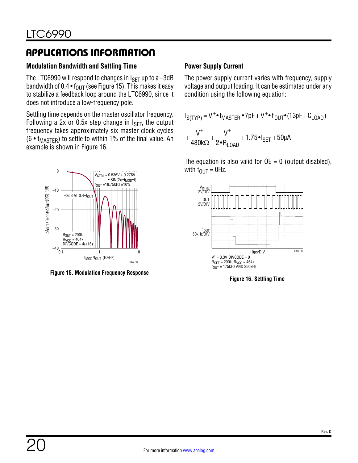### **Modulation Bandwidth and Settling Time**

The LTC6990 will respond to changes in  $I_{\text{SET}}$  up to a -3dB bandwidth of 0.4  $\bullet$  f<sub>OUT</sub> (see [Figure 15\)](#page-19-0). This makes it easy to stabilize a feedback loop around the LTC6990, since it does not introduce a low-frequency pole.

Settling time depends on the master oscillator frequency. Following a 2x or 0.5x step change in  $I<sub>SFT</sub>$ , the output frequency takes approximately six master clock cycles (6 •  $t_{\text{MASTFR}}$ ) to settle to within 1% of the final value. An example is shown in [Figure 16](#page-19-1).



<span id="page-19-0"></span>**Figure 15. Modulation Frequency Response**

### **Power Supply Current**

The power supply current varies with frequency, supply voltage and output loading. It can be estimated under any condition using the following equation:

$$
I_{S(TYP)} \approx V^+ \cdot f_{MASTER} \cdot 7pF + V^+ \cdot f_{OUT} \cdot (13pF + C_{LOAD})
$$
  
+ 
$$
\frac{V^+}{480k\Omega} + \frac{V^+}{2 \cdot R_{LOAD}} + 1.75 \cdot I_{SET} + 50\mu A
$$

The equation is also valid for  $OE = 0$  (output disabled), with  $f_{\text{OUT}} = 0$ Hz.



<span id="page-19-1"></span>**Figure 16. Settling Time**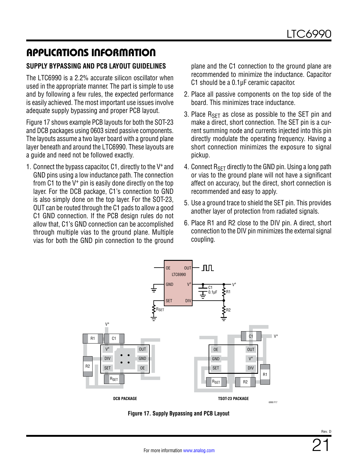### **SUPPLY BYPASSING AND PCB LAYOUT GUIDELINES**

The LTC6990 is a 2.2% accurate silicon oscillator when used in the appropriate manner. The part is simple to use and by following a few rules, the expected performance is easily achieved. The most important use issues involve adequate supply bypassing and proper PCB layout.

[Figure 17](#page-20-0) shows example PCB layouts for both the SOT-23 and DCB packages using 0603 sized passive components. The layouts assume a two layer board with a ground plane layer beneath and around the LTC6990. These layouts are a guide and need not be followed exactly.

1. Connect the bypass capacitor, C1, directly to the V+ and GND pins using a low inductance path. The connection from C1 to the V+ pin is easily done directly on the top layer. For the DCB package, C1's connection to GND is also simply done on the top layer. For the SOT-23, OUT can be routed through the C1 pads to allow a good C1 GND connection. If the PCB design rules do not allow that, C1's GND connection can be accomplished through multiple vias to the ground plane. Multiple vias for both the GND pin connection to the ground

plane and the C1 connection to the ground plane are recommended to minimize the inductance. Capacitor C1 should be a 0.1µF ceramic capacitor.

- 2. Place all passive components on the top side of the board. This minimizes trace inductance.
- 3. Place  $R_{\text{SET}}$  as close as possible to the SET pin and make a direct, short connection. The SET pin is a current summing node and currents injected into this pin directly modulate the operating frequency. Having a short connection minimizes the exposure to signal pickup.
- 4. Connect  $R_{\text{SFT}}$  directly to the GND pin. Using a long path or vias to the ground plane will not have a significant affect on accuracy, but the direct, short connection is recommended and easy to apply.
- 5. Use a ground trace to shield the SET pin. This provides another layer of protection from radiated signals.
- 6. Place R1 and R2 close to the DIV pin. A direct, short connection to the DIV pin minimizes the external signal coupling.



<span id="page-20-0"></span>**Figure 17. Supply Bypassing and PCB Layout**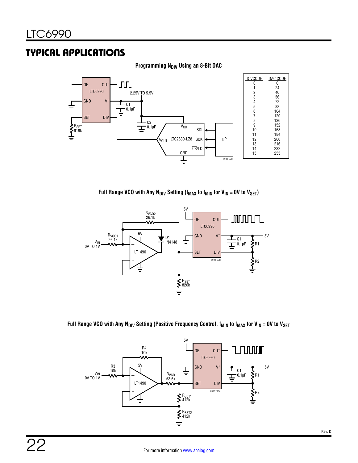#### **Programming N<sub>DIV</sub> Using an 8-Bit DAC**



Full Range VCO with Any  $N_{DIV}$  Setting ( $f_{MAX}$  to  $f_{MIN}$  for  $V_{IN} = 0V$  to  $V_{SET}$ )



Full Range VCO with Any N<sub>DIV</sub> Setting (Positive Frequency Control, f<sub>MIN</sub> to f<sub>MAX</sub> for V<sub>IN</sub> = 0V to V<sub>SET</sub>

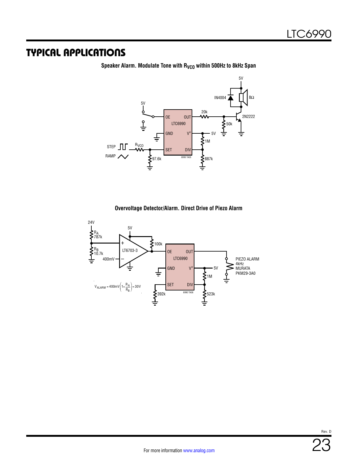

Speaker Alarm. Modulate Tone with R<sub>VCO</sub> within 500Hz to 8kHz Span

#### **Overvoltage Detector/Alarm. Direct Drive of Piezo Alarm**

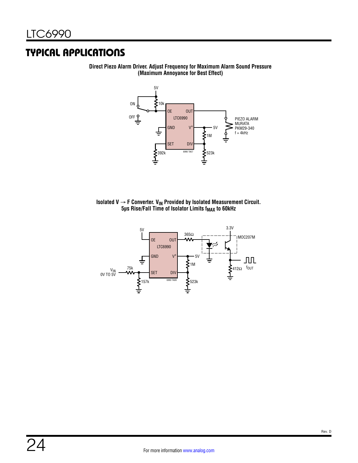

**Direct Piezo Alarm Driver. Adjust Frequency for Maximum Alarm Sound Pressure (Maximum Annoyance for Best Effect)**



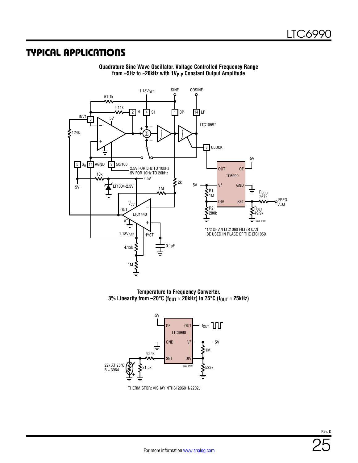

**Quadrature Sine Wave Oscillator. Voltage Controlled Frequency Range from ~5Hz to ~20kHz with 1VP-P Constant Output Amplitude**

**Temperature to Frequency Converter. 3% Linearity from –20°C (fOUT ≈ 20kHz) to 75°C (fOUT ≈ 25kHz)**



THERMISTOR: VISHAY NTHS120601N2202J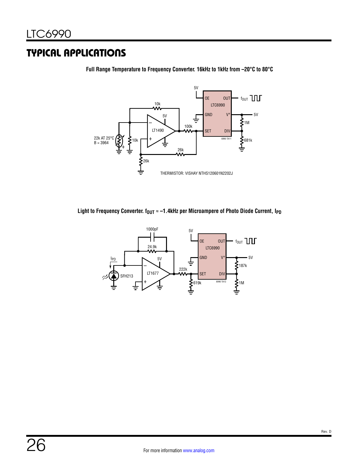

**Full Range Temperature to Frequency Converter. 16kHz to 1kHz from –20°C to 80°C**

Light to Frequency Converter. f<sub>OUT</sub> ≈ −1.4kHz per Microampere of Photo Diode Current, I<sub>PD</sub>

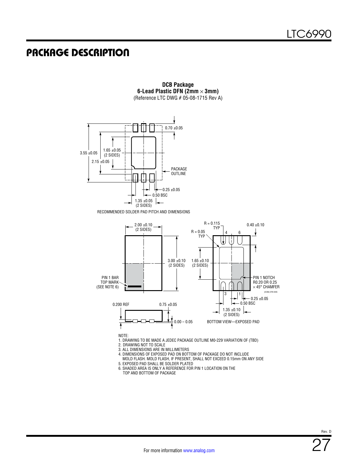### PACKAGE DESCRIPTION



**DCB Package 6-Lead Plastic DFN (2mm** × **3mm)** (Reference LTC DWG # 05-08-1715 Rev A)

2. DRAWING NOT TO SCALE

3. ALL DIMENSIONS ARE IN MILLIMETERS

4. DIMENSIONS OF EXPOSED PAD ON BOTTOM OF PACKAGE DO NOT INCLUDE MOLD FLASH. MOLD FLASH, IF PRESENT, SHALL NOT EXCEED 0.15mm ON ANY SIDE

5. EXPOSED PAD SHALL BE SOLDER PLATED

6. SHADED AREA IS ONLY A REFERENCE FOR PIN 1 LOCATION ON THE TOP AND BOTTOM OF PACKAGE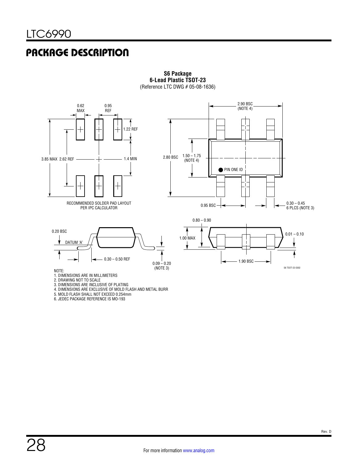### PACKAGE DESCRIPTION



**S6 Package 6-Lead Plastic TSOT-23** (Reference LTC DWG # 05-08-1636)

4. DIMENSIONS ARE EXCLUSIVE OF MOLD FLASH AND METAL BURR

5. MOLD FLASH SHALL NOT EXCEED 0.254mm

6. JEDEC PACKAGE REFERENCE IS MO-193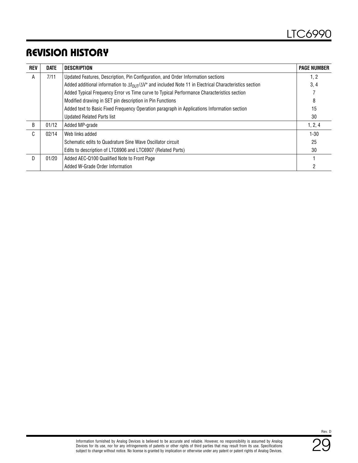## REVISION HISTORY

| REV | <b>DATE</b> | <b>DESCRIPTION</b>                                                                                                            | <b>PAGE NUMBER</b> |
|-----|-------------|-------------------------------------------------------------------------------------------------------------------------------|--------------------|
| A   | 7/11        | Updated Features, Description, Pin Configuration, and Order Information sections                                              | 1, 2               |
|     |             | Added additional information to $\Delta f_{\text{OUT}}/\Delta V^+$ and included Note 11 in Electrical Characteristics section | 3, 4               |
|     |             | Added Typical Frequency Error vs Time curve to Typical Performance Characteristics section                                    |                    |
|     |             | Modified drawing in SET pin description in Pin Functions                                                                      | 8                  |
|     |             | Added text to Basic Fixed Frequency Operation paragraph in Applications Information section                                   | 15                 |
|     |             | <b>Updated Related Parts list</b>                                                                                             | 30                 |
| B   | 01/12       | Added MP-grade                                                                                                                | 1, 2, 4            |
| C.  | 02/14       | Web links added                                                                                                               | $1 - 30$           |
|     |             | Schematic edits to Quadrature Sine Wave Oscillator circuit                                                                    | 25                 |
|     |             | Edits to description of LTC6906 and LTC6907 (Related Parts)                                                                   | 30                 |
| D.  | 01/20       | Added AEC-Q100 Qualified Note to Front Page                                                                                   |                    |
|     |             | Added W-Grade Order Information                                                                                               | 2                  |